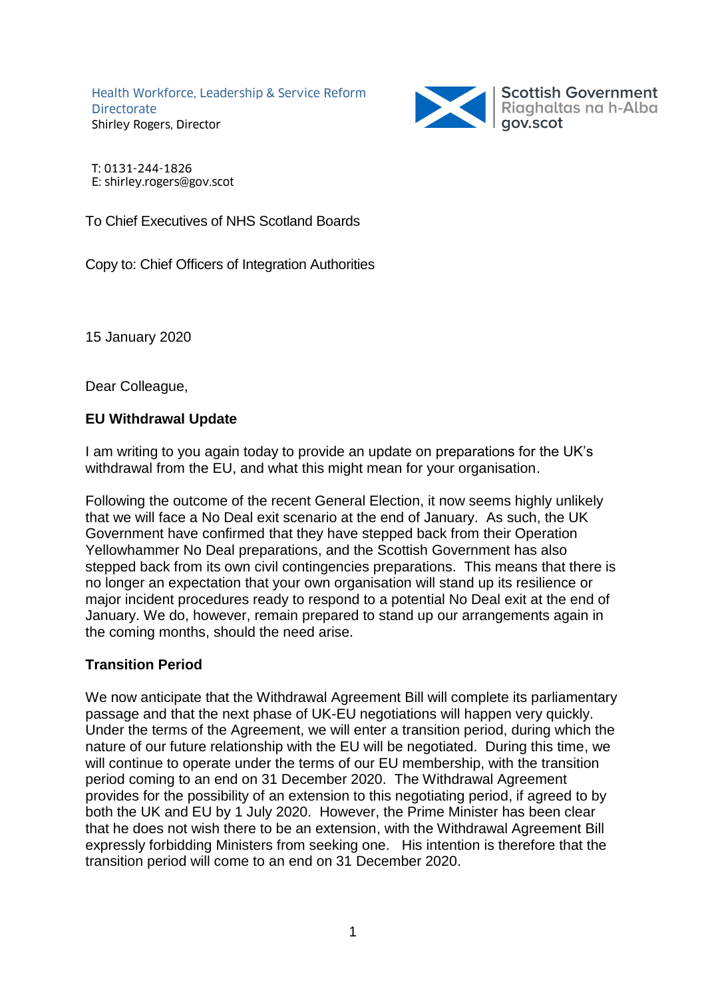Health Workforce, Leadership & Service Reform **Directorate** Shirley Rogers, Director



T: 0131-244-1826 E: shirley.rogers@gov.scot

To Chief Executives of NHS Scotland Boards

Copy to: Chief Officers of Integration Authorities

15 January 2020

Dear Colleague,

## **EU Withdrawal Update**

I am writing to you again today to provide an update on preparations for the UK's withdrawal from the EU, and what this might mean for your organisation.

Following the outcome of the recent General Election, it now seems highly unlikely that we will face a No Deal exit scenario at the end of January. As such, the UK Government have confirmed that they have stepped back from their Operation Yellowhammer No Deal preparations, and the Scottish Government has also stepped back from its own civil contingencies preparations. This means that there is no longer an expectation that your own organisation will stand up its resilience or major incident procedures ready to respond to a potential No Deal exit at the end of January. We do, however, remain prepared to stand up our arrangements again in the coming months, should the need arise.

## **Transition Period**

We now anticipate that the Withdrawal Agreement Bill will complete its parliamentary passage and that the next phase of UK-EU negotiations will happen very quickly. Under the terms of the Agreement, we will enter a transition period, during which the nature of our future relationship with the EU will be negotiated. During this time, we will continue to operate under the terms of our EU membership, with the transition period coming to an end on 31 December 2020. The Withdrawal Agreement provides for the possibility of an extension to this negotiating period, if agreed to by both the UK and EU by 1 July 2020. However, the Prime Minister has been clear that he does not wish there to be an extension, with the Withdrawal Agreement Bill expressly forbidding Ministers from seeking one. His intention is therefore that the transition period will come to an end on 31 December 2020.